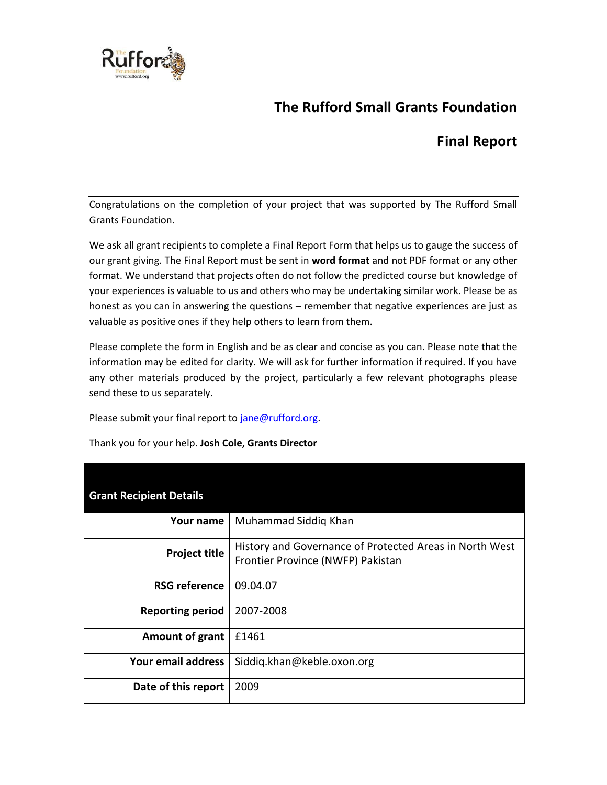

# **The Rufford Small Grants Foundation**

## **Final Report**

Congratulations on the completion of your project that was supported by The Rufford Small Grants Foundation.

We ask all grant recipients to complete a Final Report Form that helps us to gauge the success of our grant giving. The Final Report must be sent in **word format** and not PDF format or any other format. We understand that projects often do not follow the predicted course but knowledge of your experiences is valuable to us and others who may be undertaking similar work. Please be as honest as you can in answering the questions – remember that negative experiences are just as valuable as positive ones if they help others to learn from them.

Please complete the form in English and be as clear and concise as you can. Please note that the information may be edited for clarity. We will ask for further information if required. If you have any other materials produced by the project, particularly a few relevant photographs please send these to us separately.

Please submit your final report to jane@rufford.org.

| <b>Grant Recipient Details</b> |                                                                                              |
|--------------------------------|----------------------------------------------------------------------------------------------|
| Your name                      | Muhammad Siddig Khan                                                                         |
| <b>Project title</b>           | History and Governance of Protected Areas in North West<br>Frontier Province (NWFP) Pakistan |
| <b>RSG reference</b>           | 09.04.07                                                                                     |
| <b>Reporting period</b>        | 2007-2008                                                                                    |
| Amount of grant                | £1461                                                                                        |
| Your email address             | Siddig.khan@keble.oxon.org                                                                   |
| Date of this report            | 2009                                                                                         |

Thank you for your help. **Josh Cole, Grants Director**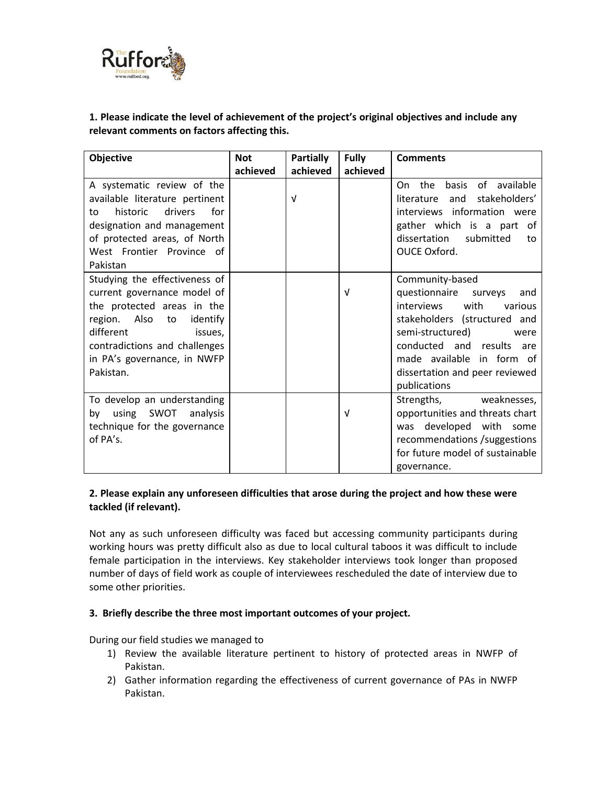

## **1. Please indicate the level of achievement of the project's original objectives and include any relevant comments on factors affecting this.**

| <b>Objective</b>                 | <b>Not</b> | <b>Partially</b> | <b>Fully</b> | <b>Comments</b>                     |
|----------------------------------|------------|------------------|--------------|-------------------------------------|
|                                  | achieved   | achieved         | achieved     |                                     |
| A systematic review of the       |            |                  |              | the<br>basis<br>of available<br>On. |
| available literature pertinent   |            | $\sqrt{ }$       |              | stakeholders'<br>literature<br>and  |
| drivers<br>for<br>historic<br>to |            |                  |              | interviews information were         |
| designation and management       |            |                  |              | gather which is a part of           |
| of protected areas, of North     |            |                  |              | dissertation<br>submitted<br>to     |
| West Frontier Province of        |            |                  |              | OUCE Oxford.                        |
| Pakistan                         |            |                  |              |                                     |
| Studying the effectiveness of    |            |                  |              | Community-based                     |
| current governance model of      |            |                  | $\sqrt{ }$   | questionnaire surveys<br>and        |
| the protected areas in the       |            |                  |              | interviews<br>with<br>various       |
| region. Also to<br>identify      |            |                  |              | stakeholders (structured and        |
| different<br>issues,             |            |                  |              | semi-structured)<br>were            |
| contradictions and challenges    |            |                  |              | conducted and results are           |
| in PA's governance, in NWFP      |            |                  |              | made available in form of           |
| Pakistan.                        |            |                  |              | dissertation and peer reviewed      |
|                                  |            |                  |              | publications                        |
| To develop an understanding      |            |                  |              | Strengths, weaknesses,              |
| using SWOT<br>analysis<br>bv     |            |                  | $\sqrt{ }$   | opportunities and threats chart     |
| technique for the governance     |            |                  |              | was developed with some             |
| of PA's.                         |            |                  |              | recommendations /suggestions        |
|                                  |            |                  |              | for future model of sustainable     |
|                                  |            |                  |              | governance.                         |

## **2. Please explain any unforeseen difficulties that arose during the project and how these were tackled (if relevant).**

Not any as such unforeseen difficulty was faced but accessing community participants during working hours was pretty difficult also as due to local cultural taboos it was difficult to include female participation in the interviews. Key stakeholder interviews took longer than proposed number of days of field work as couple of interviewees rescheduled the date of interview due to some other priorities.

#### **3. Briefly describe the three most important outcomes of your project.**

During our field studies we managed to

- 1) Review the available literature pertinent to history of protected areas in NWFP of Pakistan.
- 2) Gather information regarding the effectiveness of current governance of PAs in NWFP Pakistan.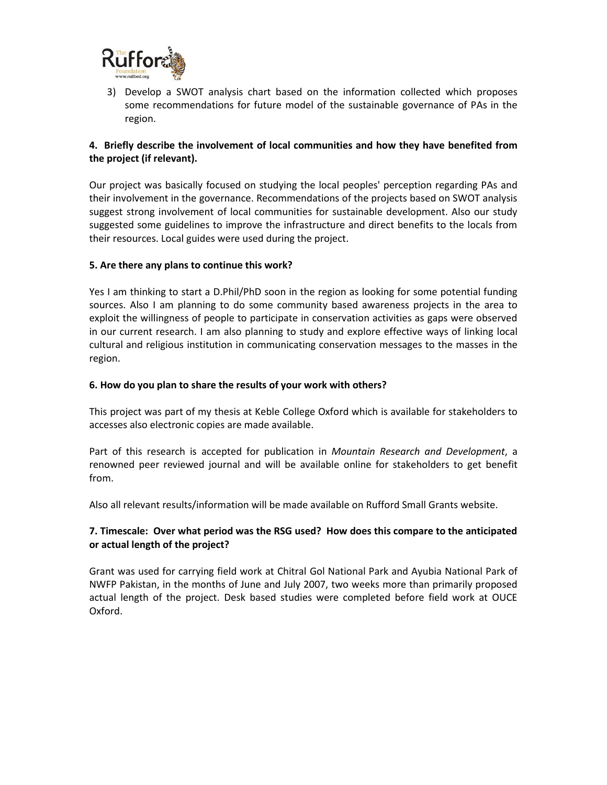

3) Develop a SWOT analysis chart based on the information collected which proposes some recommendations for future model of the sustainable governance of PAs in the region.

### **4. Briefly describe the involvement of local communities and how they have benefited from the project (if relevant).**

Our project was basically focused on studying the local peoples' perception regarding PAs and their involvement in the governance. Recommendations of the projects based on SWOT analysis suggest strong involvement of local communities for sustainable development. Also our study suggested some guidelines to improve the infrastructure and direct benefits to the locals from their resources. Local guides were used during the project.

#### **5. Are there any plans to continue this work?**

Yes I am thinking to start a D.Phil/PhD soon in the region as looking for some potential funding sources. Also I am planning to do some community based awareness projects in the area to exploit the willingness of people to participate in conservation activities as gaps were observed in our current research. I am also planning to study and explore effective ways of linking local cultural and religious institution in communicating conservation messages to the masses in the region.

#### **6. How do you plan to share the results of your work with others?**

This project was part of my thesis at Keble College Oxford which is available for stakeholders to accesses also electronic copies are made available.

Part of this research is accepted for publication in *Mountain Research and Development*, a renowned peer reviewed journal and will be available online for stakeholders to get benefit from.

Also all relevant results/information will be made available on Rufford Small Grants website.

#### **7. Timescale: Over what period was the RSG used? How does this compare to the anticipated or actual length of the project?**

Grant was used for carrying field work at Chitral Gol National Park and Ayubia National Park of NWFP Pakistan, in the months of June and July 2007, two weeks more than primarily proposed actual length of the project. Desk based studies were completed before field work at OUCE Oxford.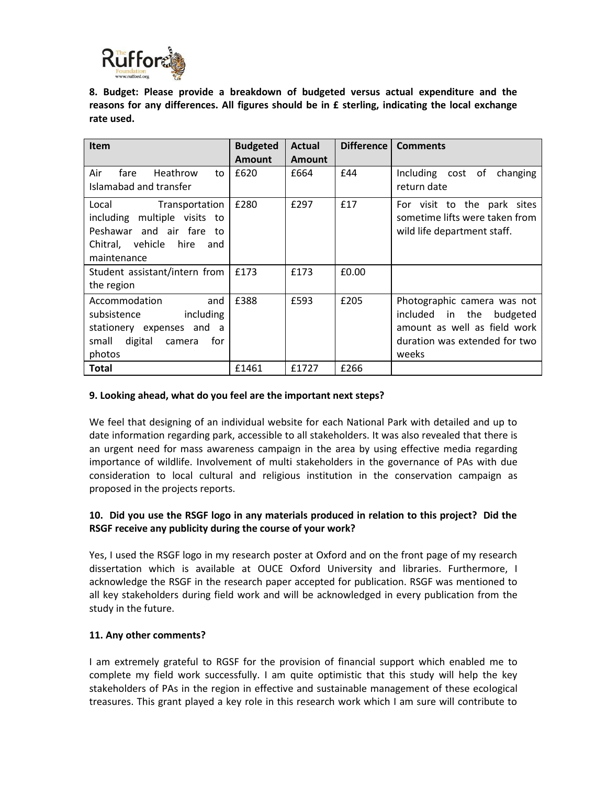

**8. Budget: Please provide a breakdown of budgeted versus actual expenditure and the reasons for any differences. All figures should be in £ sterling, indicating the local exchange rate used.** 

| <b>Item</b>                                                                                                                        | <b>Budgeted</b> | <b>Actual</b> | Difference | <b>Comments</b>                                                                                                                      |
|------------------------------------------------------------------------------------------------------------------------------------|-----------------|---------------|------------|--------------------------------------------------------------------------------------------------------------------------------------|
|                                                                                                                                    | <b>Amount</b>   | <b>Amount</b> |            |                                                                                                                                      |
| Air<br>Heathrow<br>fare<br>to<br>Islamabad and transfer                                                                            | £620            | £664          | £44        | Including cost of changing<br>return date                                                                                            |
| Local<br>Transportation<br>including multiple visits to<br>Peshawar and air fare to<br>Chitral, vehicle hire<br>and<br>maintenance | £280            | £297          | £17        | For visit to the park sites<br>sometime lifts were taken from<br>wild life department staff.                                         |
| Student assistant/intern from<br>the region                                                                                        | £173            | £173          | £0.00      |                                                                                                                                      |
| Accommodation<br>and<br>subsistence<br>including<br>stationery expenses and a<br>digital<br>small<br>for<br>camera<br>photos       | £388            | £593          | £205       | Photographic camera was not<br>included in the<br>budgeted<br>amount as well as field work<br>duration was extended for two<br>weeks |
| Total                                                                                                                              | £1461           | £1727         | £266       |                                                                                                                                      |

#### **9. Looking ahead, what do you feel are the important next steps?**

We feel that designing of an individual website for each National Park with detailed and up to date information regarding park, accessible to all stakeholders. It was also revealed that there is an urgent need for mass awareness campaign in the area by using effective media regarding importance of wildlife. Involvement of multi stakeholders in the governance of PAs with due consideration to local cultural and religious institution in the conservation campaign as proposed in the projects reports.

#### **10. Did you use the RSGF logo in any materials produced in relation to this project? Did the RSGF receive any publicity during the course of your work?**

Yes, I used the RSGF logo in my research poster at Oxford and on the front page of my research dissertation which is available at OUCE Oxford University and libraries. Furthermore, I acknowledge the RSGF in the research paper accepted for publication. RSGF was mentioned to all key stakeholders during field work and will be acknowledged in every publication from the study in the future.

#### **11. Any other comments?**

I am extremely grateful to RGSF for the provision of financial support which enabled me to complete my field work successfully. I am quite optimistic that this study will help the key stakeholders of PAs in the region in effective and sustainable management of these ecological treasures. This grant played a key role in this research work which I am sure will contribute to